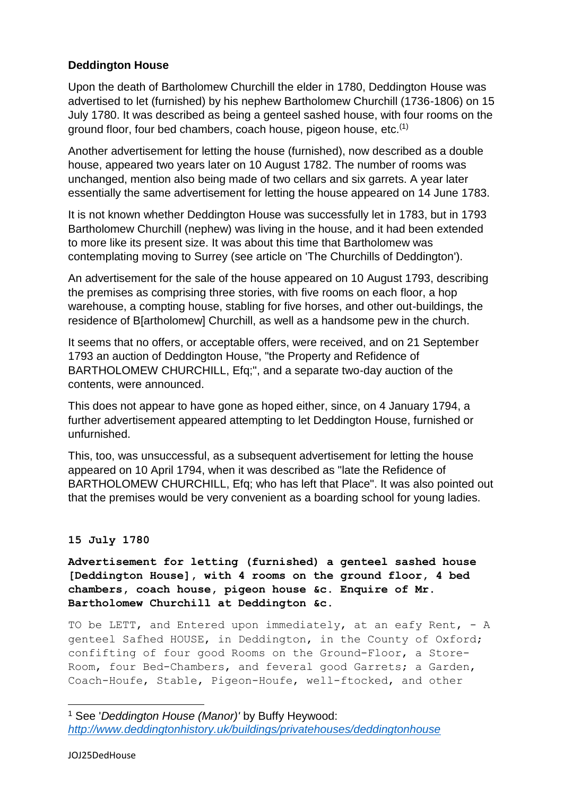# **Deddington House**

Upon the death of Bartholomew Churchill the elder in 1780, Deddington House was advertised to let (furnished) by his nephew Bartholomew Churchill (1736-1806) on 15 July 1780. It was described as being a genteel sashed house, with four rooms on the ground floor, four bed chambers, coach house, pigeon house, etc.(1)

Another advertisement for letting the house (furnished), now described as a double house, appeared two years later on 10 August 1782. The number of rooms was unchanged, mention also being made of two cellars and six garrets. A year later essentially the same advertisement for letting the house appeared on 14 June 1783.

It is not known whether Deddington House was successfully let in 1783, but in 1793 Bartholomew Churchill (nephew) was living in the house, and it had been extended to more like its present size. It was about this time that Bartholomew was contemplating moving to Surrey (see article on 'The Churchills of Deddington').

An advertisement for the sale of the house appeared on 10 August 1793, describing the premises as comprising three stories, with five rooms on each floor, a hop warehouse, a compting house, stabling for five horses, and other out-buildings, the residence of B[artholomew] Churchill, as well as a handsome pew in the church.

It seems that no offers, or acceptable offers, were received, and on 21 September 1793 an auction of Deddington House, "the Property and Refidence of BARTHOLOMEW CHURCHILL, Efq;", and a separate two-day auction of the contents, were announced.

This does not appear to have gone as hoped either, since, on 4 January 1794, a further advertisement appeared attempting to let Deddington House, furnished or unfurnished.

This, too, was unsuccessful, as a subsequent advertisement for letting the house appeared on 10 April 1794, when it was described as "late the Refidence of BARTHOLOMEW CHURCHILL, Efq; who has left that Place". It was also pointed out that the premises would be very convenient as a boarding school for young ladies.

# **15 July 1780**

**Advertisement for letting (furnished) a genteel sashed house [Deddington House], with 4 rooms on the ground floor, 4 bed chambers, coach house, pigeon house &c. Enquire of Mr. Bartholomew Churchill at Deddington &c.**

TO be LETT, and Entered upon immediately, at an eafy Rent,  $-$  A genteel Safhed HOUSE, in Deddington, in the County of Oxford; confifting of four good Rooms on the Ground-Floor, a Store-Room, four Bed-Chambers, and feveral good Garrets; a Garden, Coach-Houfe, Stable, Pigeon-Houfe, well-ftocked, and other

**.** 

<sup>1</sup> See '*Deddington House (Manor)'* by Buffy Heywood: *<http://www.deddingtonhistory.uk/buildings/privatehouses/deddingtonhouse>*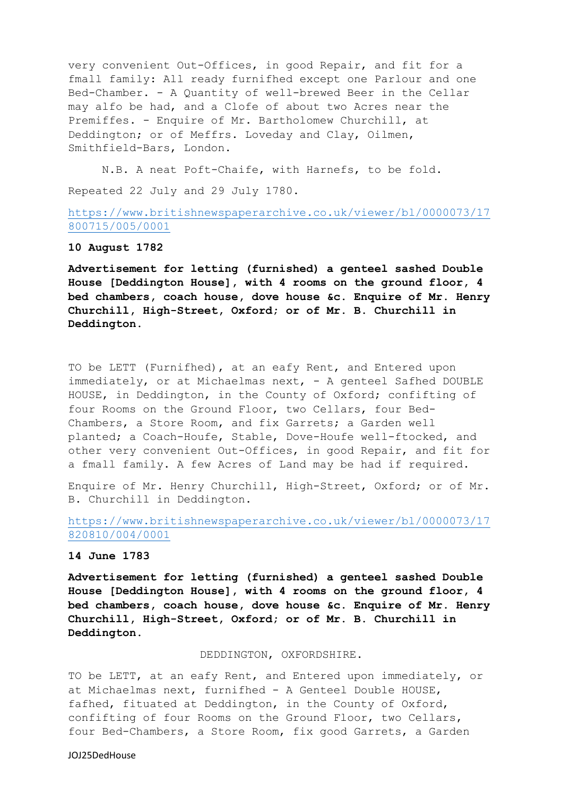very convenient Out-Offices, in good Repair, and fit for a fmall family: All ready furnifhed except one Parlour and one Bed-Chamber. - A Quantity of well-brewed Beer in the Cellar may alfo be had, and a Clofe of about two Acres near the Premiffes. - Enquire of Mr. Bartholomew Churchill, at Deddington; or of Meffrs. Loveday and Clay, Oilmen, Smithfield-Bars, London.

N.B. A neat Poft-Chaife, with Harnefs, to be fold. Repeated 22 July and 29 July 1780.

[https://www.britishnewspaperarchive.co.uk/viewer/bl/0000073/17](https://www.britishnewspaperarchive.co.uk/viewer/bl/0000073/17800715/005/0001) [800715/005/0001](https://www.britishnewspaperarchive.co.uk/viewer/bl/0000073/17800715/005/0001)

## **10 August 1782**

**Advertisement for letting (furnished) a genteel sashed Double House [Deddington House], with 4 rooms on the ground floor, 4 bed chambers, coach house, dove house &c. Enquire of Mr. Henry Churchill, High-Street, Oxford; or of Mr. B. Churchill in Deddington.**

TO be LETT (Furnifhed), at an eafy Rent, and Entered upon immediately, or at Michaelmas next, - A genteel Safhed DOUBLE HOUSE, in Deddington, in the County of Oxford; confifting of four Rooms on the Ground Floor, two Cellars, four Bed-Chambers, a Store Room, and fix Garrets; a Garden well planted; a Coach-Houfe, Stable, Dove-Houfe well-ftocked, and other very convenient Out-Offices, in good Repair, and fit for a fmall family. A few Acres of Land may be had if required.

Enquire of Mr. Henry Churchill, High-Street, Oxford; or of Mr. B. Churchill in Deddington.

[https://www.britishnewspaperarchive.co.uk/viewer/bl/0000073/17](https://www.britishnewspaperarchive.co.uk/viewer/bl/0000073/17820810/004/0001) [820810/004/0001](https://www.britishnewspaperarchive.co.uk/viewer/bl/0000073/17820810/004/0001)

## **14 June 1783**

**Advertisement for letting (furnished) a genteel sashed Double House [Deddington House], with 4 rooms on the ground floor, 4 bed chambers, coach house, dove house &c. Enquire of Mr. Henry Churchill, High-Street, Oxford; or of Mr. B. Churchill in Deddington.**

### DEDDINGTON, OXFORDSHIRE.

TO be LETT, at an eafy Rent, and Entered upon immediately, or at Michaelmas next, furnifhed - A Genteel Double HOUSE, fafhed, fituated at Deddington, in the County of Oxford, confifting of four Rooms on the Ground Floor, two Cellars, four Bed-Chambers, a Store Room, fix good Garrets, a Garden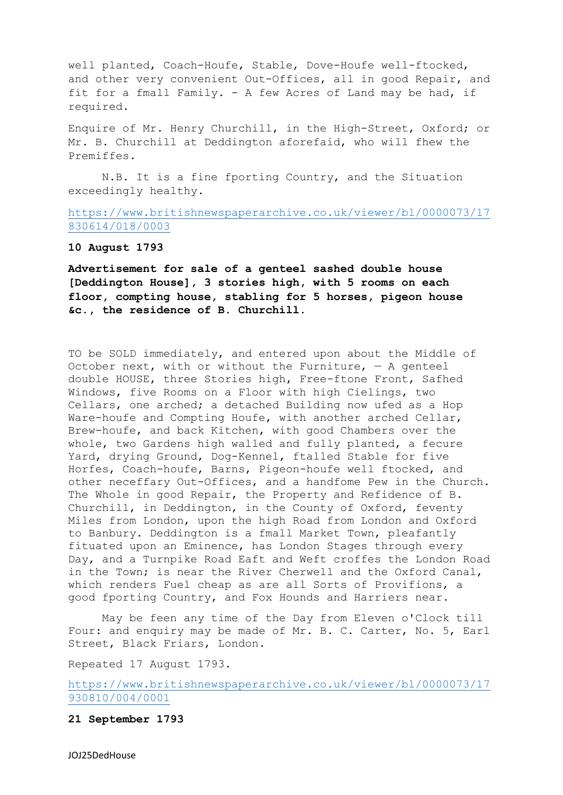well planted, Coach-Houfe, Stable, Dove-Houfe well-ftocked, and other very convenient Out-Offices, all in good Repair, and fit for a fmall Family. - A few Acres of Land may be had, if required.

Enquire of Mr. Henry Churchill, in the High-Street, Oxford; or Mr. B. Churchill at Deddington aforefaid, who will fhew the Premiffes.

N.B. It is a fine fporting Country, and the Situation exceedingly healthy.

[https://www.britishnewspaperarchive.co.uk/viewer/bl/0000073/17](https://www.britishnewspaperarchive.co.uk/viewer/bl/0000073/17830614/018/0003) [830614/018/0003](https://www.britishnewspaperarchive.co.uk/viewer/bl/0000073/17830614/018/0003)

### **10 August 1793**

**Advertisement for sale of a genteel sashed double house [Deddington House], 3 stories high, with 5 rooms on each floor, compting house, stabling for 5 horses, pigeon house &c., the residence of B. Churchill.**

TO be SOLD immediately, and entered upon about the Middle of October next, with or without the Furniture,  $-$  A genteel double HOUSE, three Stories high, Free-ftone Front, Safhed Windows, five Rooms on a Floor with high Cielings, two Cellars, one arched; a detached Building now ufed as a Hop Ware-houfe and Compting Houfe, with another arched Cellar, Brew-houfe, and back Kitchen, with good Chambers over the whole, two Gardens high walled and fully planted, a fecure Yard, drying Ground, Dog-Kennel, ftalled Stable for five Horfes, Coach-houfe, Barns, Pigeon-houfe well ftocked, and other neceffary Out-Offices, and a handfome Pew in the Church. The Whole in good Repair, the Property and Refidence of B. Churchill, in Deddington, in the County of Oxford, feventy Miles from London, upon the high Road from London and Oxford to Banbury. Deddington is a fmall Market Town, pleafantly fituated upon an Eminence, has London Stages through every Day, and a Turnpike Road Eaft and Weft croffes the London Road in the Town; is near the River Cherwell and the Oxford Canal, which renders Fuel cheap as are all Sorts of Provifions, a good fporting Country, and Fox Hounds and Harriers near.

May be feen any time of the Day from Eleven o'Clock till Four: and enquiry may be made of Mr. B. C. Carter, No. 5, Earl Street, Black Friars, London.

Repeated 17 August 1793.

[https://www.britishnewspaperarchive.co.uk/viewer/bl/0000073/17](https://www.britishnewspaperarchive.co.uk/viewer/bl/0000073/17930810/004/0001) [930810/004/0001](https://www.britishnewspaperarchive.co.uk/viewer/bl/0000073/17930810/004/0001)

#### **21 September 1793**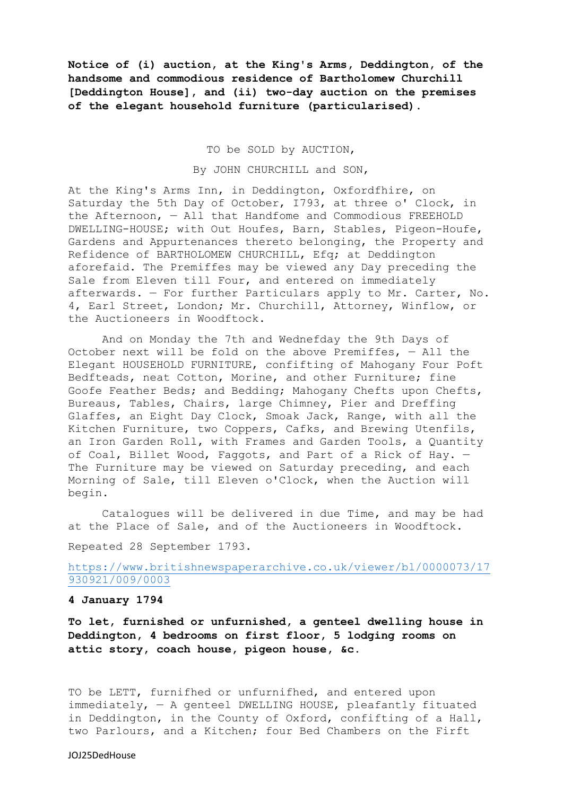**Notice of (i) auction, at the King's Arms, Deddington, of the handsome and commodious residence of Bartholomew Churchill [Deddington House], and (ii) two-day auction on the premises of the elegant household furniture (particularised).**

TO be SOLD by AUCTION,

By JOHN CHURCHILL and SON,

At the King's Arms Inn, in Deddington, Oxfordfhire, on Saturday the 5th Day of October, I793, at three o' Clock, in the Afternoon, — All that Handfome and Commodious FREEHOLD DWELLING-HOUSE; with Out Houfes, Barn, Stables, Pigeon-Houfe, Gardens and Appurtenances thereto belonging, the Property and Refidence of BARTHOLOMEW CHURCHILL, Efq; at Deddington aforefaid. The Premiffes may be viewed any Day preceding the Sale from Eleven till Four, and entered on immediately afterwards. — For further Particulars apply to Mr. Carter, No. 4, Earl Street, London; Mr. Churchill, Attorney, Winflow, or the Auctioneers in Woodftock.

And on Monday the 7th and Wednefday the 9th Days of October next will be fold on the above Premiffes,  $-$  All the Elegant HOUSEHOLD FURNITURE, confifting of Mahogany Four Poft Bedfteads, neat Cotton, Morine, and other Furniture; fine Goofe Feather Beds; and Bedding; Mahogany Chefts upon Chefts, Bureaus, Tables, Chairs, large Chimney, Pier and Dreffing Glaffes, an Eight Day Clock, Smoak Jack, Range, with all the Kitchen Furniture, two Coppers, Cafks, and Brewing Utenfils, an Iron Garden Roll, with Frames and Garden Tools, a Quantity of Coal, Billet Wood, Faggots, and Part of a Rick of Hay. — The Furniture may be viewed on Saturday preceding, and each Morning of Sale, till Eleven o'Clock, when the Auction will begin.

Catalogues will be delivered in due Time, and may be had at the Place of Sale, and of the Auctioneers in Woodftock.

Repeated 28 September 1793.

# [https://www.britishnewspaperarchive.co.uk/viewer/bl/0000073/17](https://www.britishnewspaperarchive.co.uk/viewer/bl/0000073/17930921/009/0003) [930921/009/0003](https://www.britishnewspaperarchive.co.uk/viewer/bl/0000073/17930921/009/0003)

## **4 January 1794**

**To let, furnished or unfurnished, a genteel dwelling house in Deddington, 4 bedrooms on first floor, 5 lodging rooms on attic story, coach house, pigeon house, &c.**

TO be LETT, furnifhed or unfurnifhed, and entered upon immediately, — A genteel DWELLING HOUSE, pleafantly fituated in Deddington, in the County of Oxford, confifting of a Hall, two Parlours, and a Kitchen; four Bed Chambers on the Firft